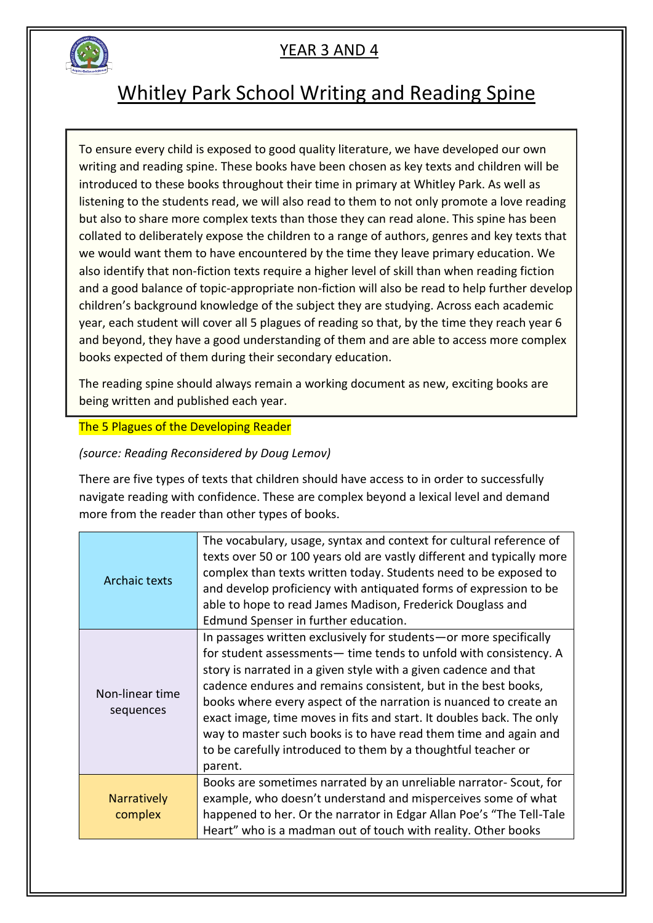

### Whitley Park School Writing and Reading Spine

To ensure every child is exposed to good quality literature, we have developed our own writing and reading spine. These books have been chosen as key texts and children will be introduced to these books throughout their time in primary at Whitley Park. As well as listening to the students read, we will also read to them to not only promote a love reading but also to share more complex texts than those they can read alone. This spine has been collated to deliberately expose the children to a range of authors, genres and key texts that we would want them to have encountered by the time they leave primary education. We also identify that non-fiction texts require a higher level of skill than when reading fiction and a good balance of topic-appropriate non-fiction will also be read to help further develop children's background knowledge of the subject they are studying. Across each academic year, each student will cover all 5 plagues of reading so that, by the time they reach year 6 and beyond, they have a good understanding of them and are able to access more complex books expected of them during their secondary education.

The reading spine should always remain a working document as new, exciting books are being written and published each year.

#### The 5 Plagues of the Developing Reader

*(source: Reading Reconsidered by Doug Lemov)*

There are five types of texts that children should have access to in order to successfully navigate reading with confidence. These are complex beyond a lexical level and demand more from the reader than other types of books.

| Archaic texts                 | The vocabulary, usage, syntax and context for cultural reference of<br>texts over 50 or 100 years old are vastly different and typically more<br>complex than texts written today. Students need to be exposed to<br>and develop proficiency with antiquated forms of expression to be<br>able to hope to read James Madison, Frederick Douglass and<br>Edmund Spenser in further education.                                                                                                                                                                                |
|-------------------------------|-----------------------------------------------------------------------------------------------------------------------------------------------------------------------------------------------------------------------------------------------------------------------------------------------------------------------------------------------------------------------------------------------------------------------------------------------------------------------------------------------------------------------------------------------------------------------------|
| Non-linear time<br>sequences  | In passages written exclusively for students - or more specifically<br>for student assessments— time tends to unfold with consistency. A<br>story is narrated in a given style with a given cadence and that<br>cadence endures and remains consistent, but in the best books,<br>books where every aspect of the narration is nuanced to create an<br>exact image, time moves in fits and start. It doubles back. The only<br>way to master such books is to have read them time and again and<br>to be carefully introduced to them by a thoughtful teacher or<br>parent. |
| <b>Narratively</b><br>complex | Books are sometimes narrated by an unreliable narrator- Scout, for<br>example, who doesn't understand and misperceives some of what<br>happened to her. Or the narrator in Edgar Allan Poe's "The Tell-Tale<br>Heart" who is a madman out of touch with reality. Other books                                                                                                                                                                                                                                                                                                |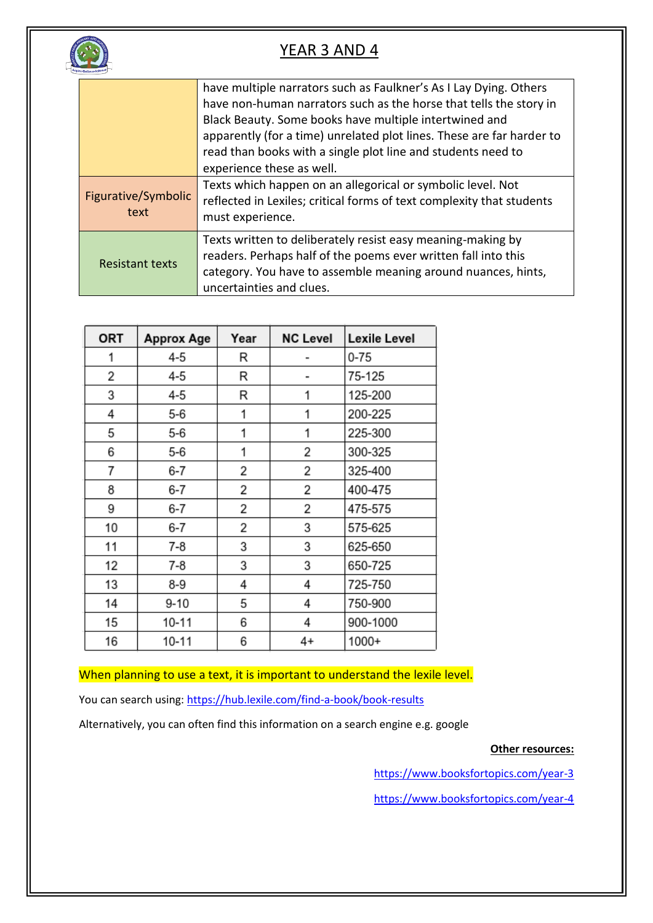

|                             | have multiple narrators such as Faulkner's As I Lay Dying. Others<br>have non-human narrators such as the horse that tells the story in<br>Black Beauty. Some books have multiple intertwined and<br>apparently (for a time) unrelated plot lines. These are far harder to<br>read than books with a single plot line and students need to<br>experience these as well. |
|-----------------------------|-------------------------------------------------------------------------------------------------------------------------------------------------------------------------------------------------------------------------------------------------------------------------------------------------------------------------------------------------------------------------|
| Figurative/Symbolic<br>text | Texts which happen on an allegorical or symbolic level. Not<br>reflected in Lexiles; critical forms of text complexity that students<br>must experience.                                                                                                                                                                                                                |
| <b>Resistant texts</b>      | Texts written to deliberately resist easy meaning-making by<br>readers. Perhaps half of the poems ever written fall into this<br>category. You have to assemble meaning around nuances, hints,<br>uncertainties and clues.                                                                                                                                              |

| <b>ORT</b> | <b>Approx Age</b> | Year | <b>NC Level</b> | Lexile Level |
|------------|-------------------|------|-----------------|--------------|
| 1          | 4-5               | R    |                 | 0-75         |
| 2          | 4-5               | R    |                 | 75-125       |
| 3          | $4 - 5$           | R    | 1               | 125-200      |
| 4          | $5 - 6$           | 1    | 1               | 200-225      |
| 5          | $5 - 6$           | 1    | 1               | 225-300      |
| 6          | 5-6               | 1    | 2               | 300-325      |
| 7          | 6-7               | 2    | 2               | 325-400      |
| 8          | 6-7               | 2    | 2               | 400-475      |
| 9          | 6-7               | 2    | 2               | 475-575      |
| 10         | 6-7               | 2    | 3               | 575-625      |
| 11         | $7-8$             | 3    | 3               | 625-650      |
| 12         | 7-8               | 3    | 3               | 650-725      |
| 13         | 8-9               | 4    | 4               | 725-750      |
| 14         | $9 - 10$          | 5    | 4               | 750-900      |
| 15         | 10-11             | 6    | 4               | 900-1000     |
| 16         | $10 - 11$         | 6    | 4+              | 1000+        |

When planning to use a text, it is important to understand the lexile level.

You can search using:<https://hub.lexile.com/find-a-book/book-results>

Alternatively, you can often find this information on a search engine e.g. google

**Other resources:**

<https://www.booksfortopics.com/year-3>

<https://www.booksfortopics.com/year-4>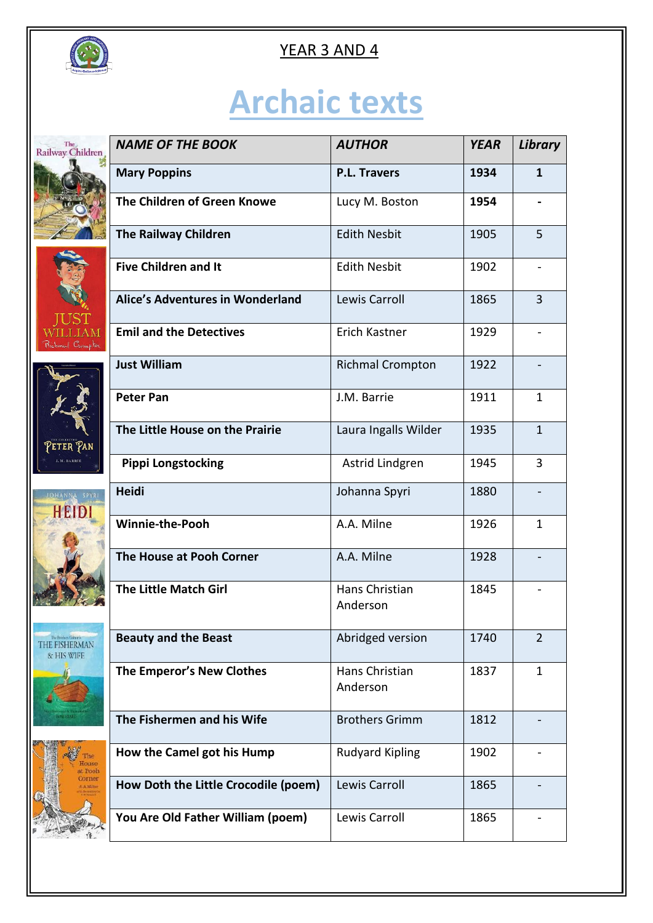

# **Archaic texts**

| The<br>Railway Children                             | <b>NAME OF THE BOOK</b>                 | <b>AUTHOR</b>              | <b>YEAR</b> | Library        |
|-----------------------------------------------------|-----------------------------------------|----------------------------|-------------|----------------|
|                                                     | <b>Mary Poppins</b>                     | <b>P.L. Travers</b>        | 1934        | $\mathbf{1}$   |
|                                                     | The Children of Green Knowe             | Lucy M. Boston             | 1954        |                |
|                                                     | <b>The Railway Children</b>             | <b>Edith Nesbit</b>        | 1905        | 5              |
|                                                     | <b>Five Children and It</b>             | <b>Edith Nesbit</b>        | 1902        |                |
|                                                     | <b>Alice's Adventures in Wonderland</b> | Lewis Carroll              | 1865        | $\overline{3}$ |
| Richmal Crompton                                    | <b>Emil and the Detectives</b>          | Erich Kastner              | 1929        |                |
|                                                     | <b>Just William</b>                     | <b>Richmal Crompton</b>    | 1922        |                |
|                                                     | <b>Peter Pan</b>                        | J.M. Barrie                | 1911        | $\mathbf{1}$   |
| Peter Pan                                           | The Little House on the Prairie         | Laura Ingalls Wilder       | 1935        | $\mathbf{1}$   |
|                                                     | <b>Pippi Longstocking</b>               | Astrid Lindgren            | 1945        | 3              |
| JOHANNA SPYRI<br>HEIDI                              | Heidi                                   | Johanna Spyri              | 1880        |                |
|                                                     | <b>Winnie-the-Pooh</b>                  | A.A. Milne                 | 1926        | $\mathbf{1}$   |
|                                                     | The House at Pooh Corner                | A.A. Milne                 | 1928        |                |
|                                                     | <b>The Little Match Girl</b>            | Hans Christian<br>Anderson | 1845        |                |
| The Brochars Grimm's<br>THE FISHERMAN<br>& HIS WIFE | <b>Beauty and the Beast</b>             | Abridged version           | 1740        | $\overline{2}$ |
|                                                     | The Emperor's New Clothes               | Hans Christian<br>Anderson | 1837        | $\mathbf{1}$   |
|                                                     | The Fishermen and his Wife              | <b>Brothers Grimm</b>      | 1812        |                |
| mse<br>Pooh                                         | How the Camel got his Hump              | <b>Rudyard Kipling</b>     | 1902        |                |
|                                                     | How Doth the Little Crocodile (poem)    | Lewis Carroll              | 1865        |                |
|                                                     | You Are Old Father William (poem)       | Lewis Carroll              | 1865        |                |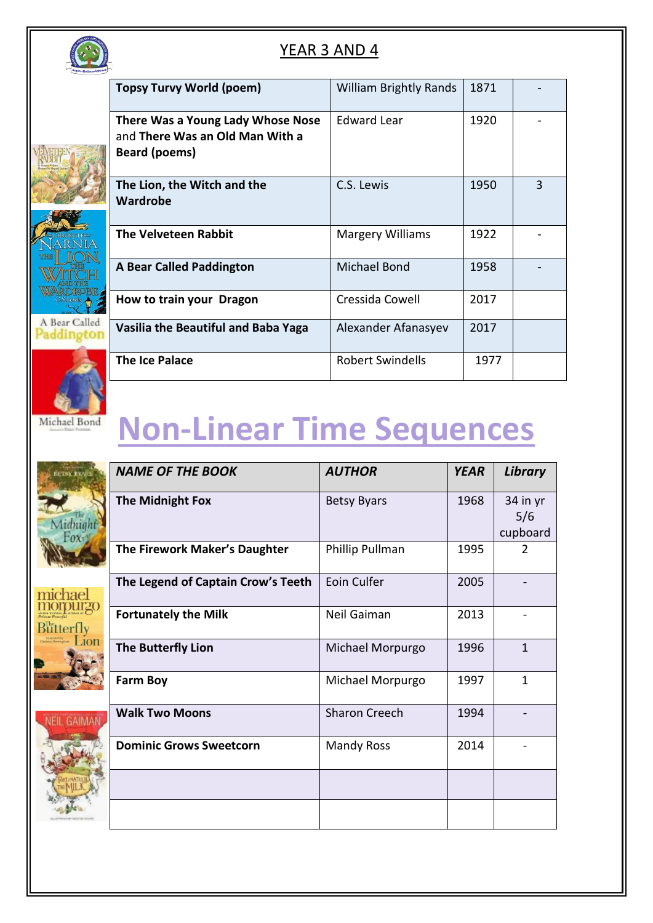









### **Non-Linear Time Sequences**

|             | <b>NAME OF THE BOOK</b>            | <b>AUTHOR</b>      | <b>YEAR</b> | <b>Library</b>              |
|-------------|------------------------------------|--------------------|-------------|-----------------------------|
|             | <b>The Midnight Fox</b>            | <b>Betsy Byars</b> | 1968        | 34 in yr<br>5/6<br>cupboard |
|             | The Firework Maker's Daughter      | Phillip Pullman    | 1995        | 2                           |
|             | The Legend of Captain Crow's Teeth | Eoin Culfer        | 2005        |                             |
|             | <b>Fortunately the Milk</b>        | Neil Gaiman        | 2013        |                             |
|             | <b>The Butterfly Lion</b>          | Michael Morpurgo   | 1996        | 1                           |
|             | <b>Farm Boy</b>                    | Michael Morpurgo   | 1997        | $\mathbf{1}$                |
| <b>GAIM</b> | <b>Walk Two Moons</b>              | Sharon Creech      | 1994        |                             |
|             | <b>Dominic Grows Sweetcorn</b>     | <b>Mandy Ross</b>  | 2014        |                             |
|             |                                    |                    |             |                             |
|             |                                    |                    |             |                             |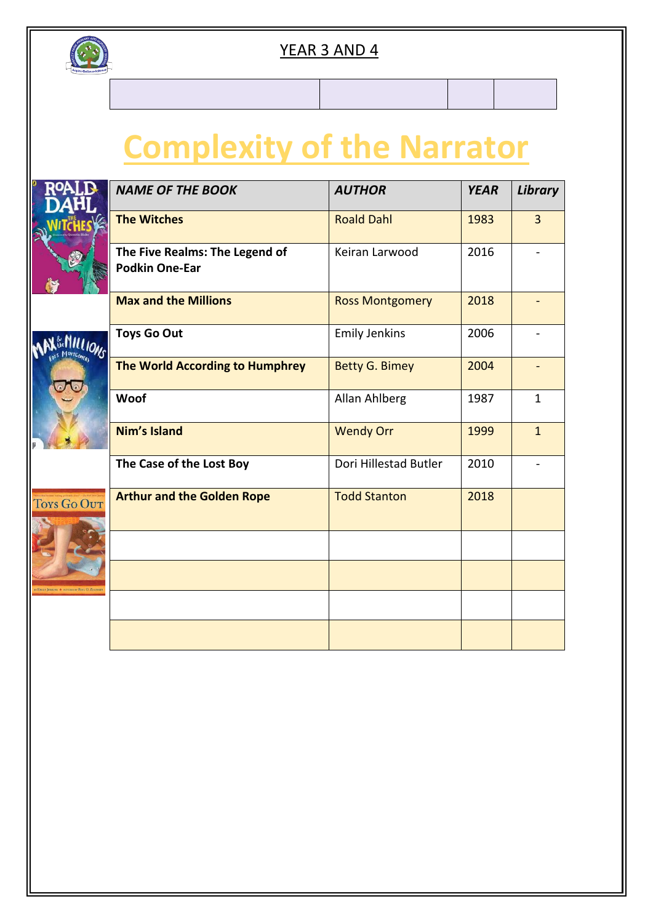

### **Complexity of the Narrator**

|             | <b>NAME OF THE BOOK</b>                                 | <b>AUTHOR</b>          | <b>YEAR</b> | Library        |
|-------------|---------------------------------------------------------|------------------------|-------------|----------------|
|             | <b>The Witches</b>                                      | <b>Roald Dahl</b>      | 1983        | $\overline{3}$ |
|             | The Five Realms: The Legend of<br><b>Podkin One-Ear</b> | Keiran Larwood         | 2016        |                |
|             | <b>Max and the Millions</b>                             | <b>Ross Montgomery</b> | 2018        |                |
|             | <b>Toys Go Out</b>                                      | <b>Emily Jenkins</b>   | 2006        |                |
|             | The World According to Humphrey                         | <b>Betty G. Bimey</b>  | 2004        |                |
|             | Woof                                                    | Allan Ahlberg          | 1987        | $\mathbf{1}$   |
|             | Nim's Island                                            | <b>Wendy Orr</b>       | 1999        | $\mathbf{1}$   |
|             | The Case of the Lost Boy                                | Dori Hillestad Butler  | 2010        |                |
| Toys Go Out | <b>Arthur and the Golden Rope</b>                       | <b>Todd Stanton</b>    | 2018        |                |
|             |                                                         |                        |             |                |
|             |                                                         |                        |             |                |
|             |                                                         |                        |             |                |
|             |                                                         |                        |             |                |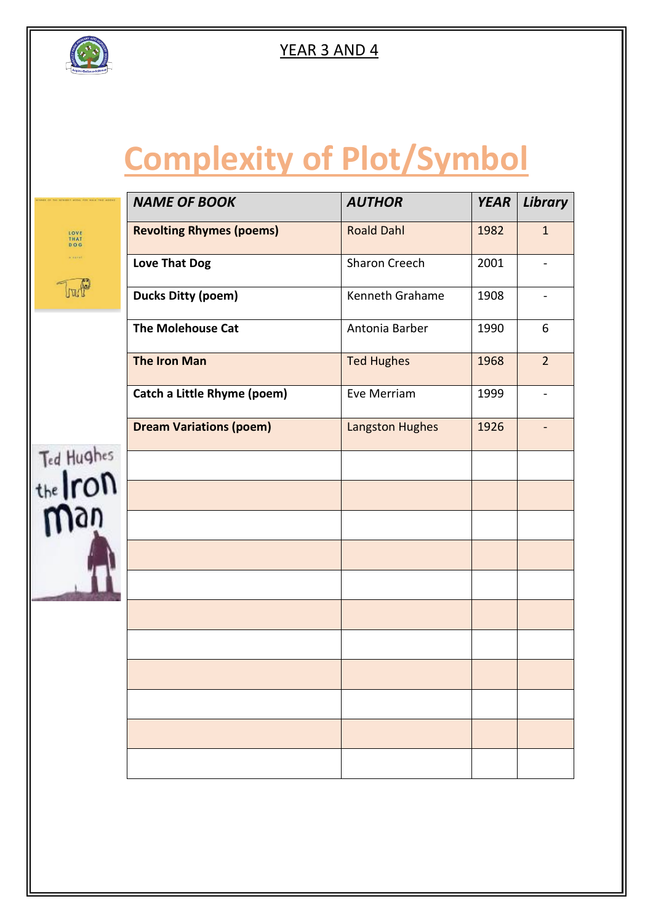

## **Complexity of Plot/Symbol**

|                        | <b>NAME OF BOOK</b>             | <b>AUTHOR</b>          | <b>YEAR</b> | Library                  |
|------------------------|---------------------------------|------------------------|-------------|--------------------------|
| LOVE<br>THAT<br>DOG    | <b>Revolting Rhymes (poems)</b> | <b>Roald Dahl</b>      | 1982        | $\mathbf{1}$             |
| A Harry                | <b>Love That Dog</b>            | <b>Sharon Creech</b>   | 2001        | $\overline{\phantom{0}}$ |
|                        | <b>Ducks Ditty (poem)</b>       | Kenneth Grahame        | 1908        | $\overline{\phantom{0}}$ |
|                        | <b>The Molehouse Cat</b>        | Antonia Barber         | 1990        | 6                        |
|                        | <b>The Iron Man</b>             | <b>Ted Hughes</b>      | 1968        | $\overline{2}$           |
|                        | Catch a Little Rhyme (poem)     | Eve Merriam            | 1999        | $\overline{a}$           |
|                        | <b>Dream Variations (poem)</b>  | <b>Langston Hughes</b> | 1926        |                          |
| Ted Hughes<br>the Iron |                                 |                        |             |                          |
|                        |                                 |                        |             |                          |
|                        |                                 |                        |             |                          |
|                        |                                 |                        |             |                          |
|                        |                                 |                        |             |                          |
|                        |                                 |                        |             |                          |
|                        |                                 |                        |             |                          |
|                        |                                 |                        |             |                          |
|                        |                                 |                        |             |                          |
|                        |                                 |                        |             |                          |
|                        |                                 |                        |             |                          |
|                        |                                 |                        |             |                          |